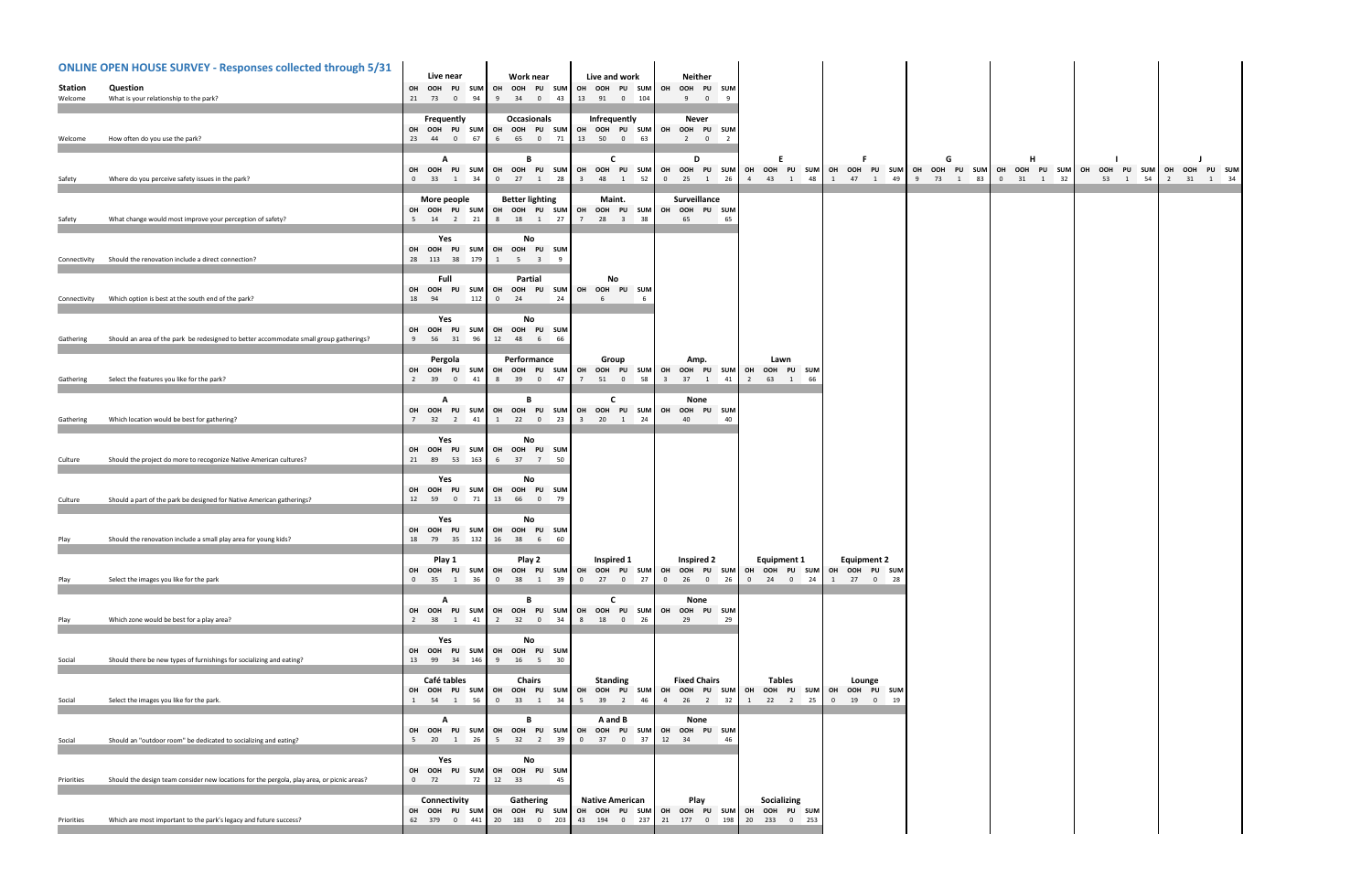| <b>ONLINE OPEN HOUSE SURVEY - Responses collected through 5/31</b> |                                                                                            | Live near                                                 | Work near                                             | Live and work                                                                 | <b>Neither</b>                                                                     |                                                                                                               |                                                 |                |                |                                                  |
|--------------------------------------------------------------------|--------------------------------------------------------------------------------------------|-----------------------------------------------------------|-------------------------------------------------------|-------------------------------------------------------------------------------|------------------------------------------------------------------------------------|---------------------------------------------------------------------------------------------------------------|-------------------------------------------------|----------------|----------------|--------------------------------------------------|
| Station                                                            | Question                                                                                   | OH OOH PU SUM                                             | OH OOH PU SUM                                         | OH OOH PU SUM                                                                 | OH OOH PU SUM                                                                      |                                                                                                               |                                                 |                |                |                                                  |
| Welcome                                                            | What is your relationship to the park?                                                     | 21 73 0 94                                                | 9 34 0 43                                             | 13 91 0 104                                                                   | 9 0 9                                                                              |                                                                                                               |                                                 |                |                |                                                  |
| Welcome                                                            | How often do you use the park?                                                             | Frequently<br>OH OOH PU SUM<br>23 44 0 67                 | Occasionals<br>6 65 0 71 13 50 0                      | Infrequently<br>OH OOH PU SUM OH OOH PU SUM<br>63                             | Never<br>OH OOH PU SUM<br>$2 \t 0 \t 2$                                            |                                                                                                               |                                                 |                |                |                                                  |
| Safety                                                             | Where do you perceive safety issues in the park?                                           | $\mathbf{A}$<br>OH OOH PU<br><b>SUM</b><br>0 33 1 34      | B<br>OH OOH PU SUM                                    | C<br>0 27 1 28 3 48 1 52                                                      | D<br>$0 \t 25 \t 1 \t 26$                                                          | OH OOH PU SUM OH OOH PU SUM OH OOH PU SUM OH OOH PU SUM OH OOH PU SUM OH OOH PU SUM PU SUM<br>4   43   1   48 | 1 47 1 49                                       | G<br>9 73 1 83 | н<br>0 31 1 32 | OH OOH PU SUM OH OOH PU SUM<br>53 1 54 2 31 1 34 |
| Safety                                                             | What change would most improve your perception of safety?                                  | More people<br>OH OOH PU SUM<br>5 14 2 21                 | <b>Better lighting</b>                                | Maint.<br>OH OOH PU SUM OH OOH PU SUM<br>8 18 1 27 7 28 3 38                  | Surveillance<br>OH OOH PU SUM<br>65<br>65                                          |                                                                                                               |                                                 |                |                |                                                  |
| Connectivity                                                       | Should the renovation include a direct connection?                                         | Yes<br>OH OOH PU SUM<br>28 113 38 179                     | No<br>OH OOH PU SUM<br>$1 \qquad 5 \qquad 3 \qquad 9$ |                                                                               |                                                                                    |                                                                                                               |                                                 |                |                |                                                  |
| Connectivity                                                       | Which option is best at the south end of the park?                                         | Full<br>OH OOH<br><b>PU</b><br><b>SUM</b><br>112<br>18 94 | Partial<br>OH OOH PU SUM OH<br>$0$ 24<br>24           | No<br>OOH PU SUM<br>6<br>- 6                                                  |                                                                                    |                                                                                                               |                                                 |                |                |                                                  |
| Gathering                                                          | Should an area of the park be redesigned to better accommodate small group gatherings?     | Yes<br>OH OOH PU SUM<br>9 56 31 96                        | No<br>OH OOH PU SUM<br>12  48  6<br>66                |                                                                               |                                                                                    |                                                                                                               |                                                 |                |                |                                                  |
| Gathering                                                          | Select the features you like for the park?                                                 | Pergola<br>OH OOH PU SUM<br>2 39<br>$0$ 41                | Performance<br>8 39 0 47                              | Group<br>OH OOH PU SUM OH OOH PU SUM<br>7 51 0 58                             | Amp.<br>OH<br>OOH<br>PU SUM<br>3 37 1 41                                           | Lawn<br>OH<br>OOH PU SUM<br>2 63 1 66                                                                         |                                                 |                |                |                                                  |
| Gathering                                                          | Which location would be best for gathering?                                                | A<br>OH OOH PU SUM<br>7 32 2 41                           | B<br>OH OOH PU SUM                                    | C<br>OH OOH PU SUM<br>1 22 0 23 3 20 1 24                                     | None<br>OH<br>OOH<br>PU SUM<br>40<br>40                                            |                                                                                                               |                                                 |                |                |                                                  |
| Culture                                                            | Should the project do more to recogonize Native American cultures?                         | Yes<br>OH OOH PU<br><b>SUM</b><br>21 89 53 163            | No<br>OH OOH PU SUM<br>6 37 7 50                      |                                                                               |                                                                                    |                                                                                                               |                                                 |                |                |                                                  |
| Culture                                                            | Should a part of the park be designed for Native American gatherings?                      | Yes<br>OH OOH PU<br><b>SUM</b><br>12 59 0 71              | No<br>OH OOH PU SUM<br>13 66 0 79                     |                                                                               |                                                                                    |                                                                                                               |                                                 |                |                |                                                  |
| Play                                                               | Should the renovation include a small play area for young kids?                            | Yes<br>OH OOH PU SUM<br>18 79 35 132                      | No<br>OH OOH PU SUM<br>16 38 6 60                     |                                                                               |                                                                                    |                                                                                                               |                                                 |                |                |                                                  |
| Play                                                               | Select the images you like for the park                                                    | Play 1<br>OH OOH PU SUM<br>0 35 1 36                      | Play 2<br>0 38 1 39                                   | Inspired 1<br>OH OOH PU SUM OH OOH PU SUM<br>$0 \qquad 27 \qquad 0 \qquad 27$ | Inspired 2<br>0 26 0 26                                                            | <b>Equipment 1</b><br>OH OOH PU SUM OH OOH PU SUM OH OOH PU SUM<br>$0 \qquad 24 \qquad 0 \qquad 24$           | <b>Equipment 2</b><br>1 27 0 28                 |                |                |                                                  |
| Play                                                               | Which zone would be best for a play area?                                                  | A<br>OH OOH PU SUM<br>2 38 1 41                           | B<br>OH OOH PU SUM<br>2 32 0 34                       | C<br>OH OOH PU SUM<br>8 18 0<br>26                                            | None<br>OH<br>OOH PU SUM<br>29<br>29                                               |                                                                                                               |                                                 |                |                |                                                  |
| Social                                                             | Should there be new types of furnishings for socializing and eating?                       | Yes<br>OH OOH PU SUM<br>13 99 34 146                      | No<br>OH OOH PU SUM<br>9 16 5 30                      |                                                                               |                                                                                    |                                                                                                               |                                                 |                |                |                                                  |
| Social                                                             | Select the images you like for the park.                                                   | Café tables<br>OH OOH PU SUM<br>1 54 1<br>56              | <b>Chairs</b><br>OH OOH PU SUM<br>0 33 1 34           | <b>Standing</b><br>5 39 2 46                                                  | <b>Fixed Chairs</b><br>OH OOH PU SUM OH OOH PU SUM OH<br>4   26   2   32           | <b>Tables</b><br>1 22 2 25                                                                                    | Lounge<br>OOH PU SUM OH OOH PU SUM<br>0 19 0 19 |                |                |                                                  |
| Social                                                             | Should an "outdoor room" be dedicated to socializing and eating?                           | A<br>OH OOH PU SUM<br>5 20 1 26                           | В<br>5 32 2 39                                        | A and B<br>0 37 0 37                                                          | None<br>OH OOH PU SUM OH OOH PU SUM OH OOH PU SUM<br>12 34<br>-46                  |                                                                                                               |                                                 |                |                |                                                  |
| Priorities                                                         | Should the design team consider new locations for the pergola, play area, or picnic areas? | Yes<br>OH OOH PU SUM<br>$0$ 72<br>72                      | No<br>OH OOH PU SUM<br>12 33<br>45                    |                                                                               |                                                                                    |                                                                                                               |                                                 |                |                |                                                  |
| Priorities                                                         | Which are most important to the park's legacy and future success?                          | Connectivity<br>62 379 0 441                              | Gathering<br>20 183 0 203                             | <b>Native American</b><br>43 194 0 237                                        | Play<br>OH OOH PU SUM OH OOH PU SUM OH OOH PU SUM OH OOH PU SUM OH<br>21 177 0 198 | Socializing<br>OOH PU SUM<br>20<br>233 0 253                                                                  |                                                 |                |                |                                                  |
|                                                                    |                                                                                            |                                                           |                                                       |                                                                               |                                                                                    |                                                                                                               |                                                 |                |                |                                                  |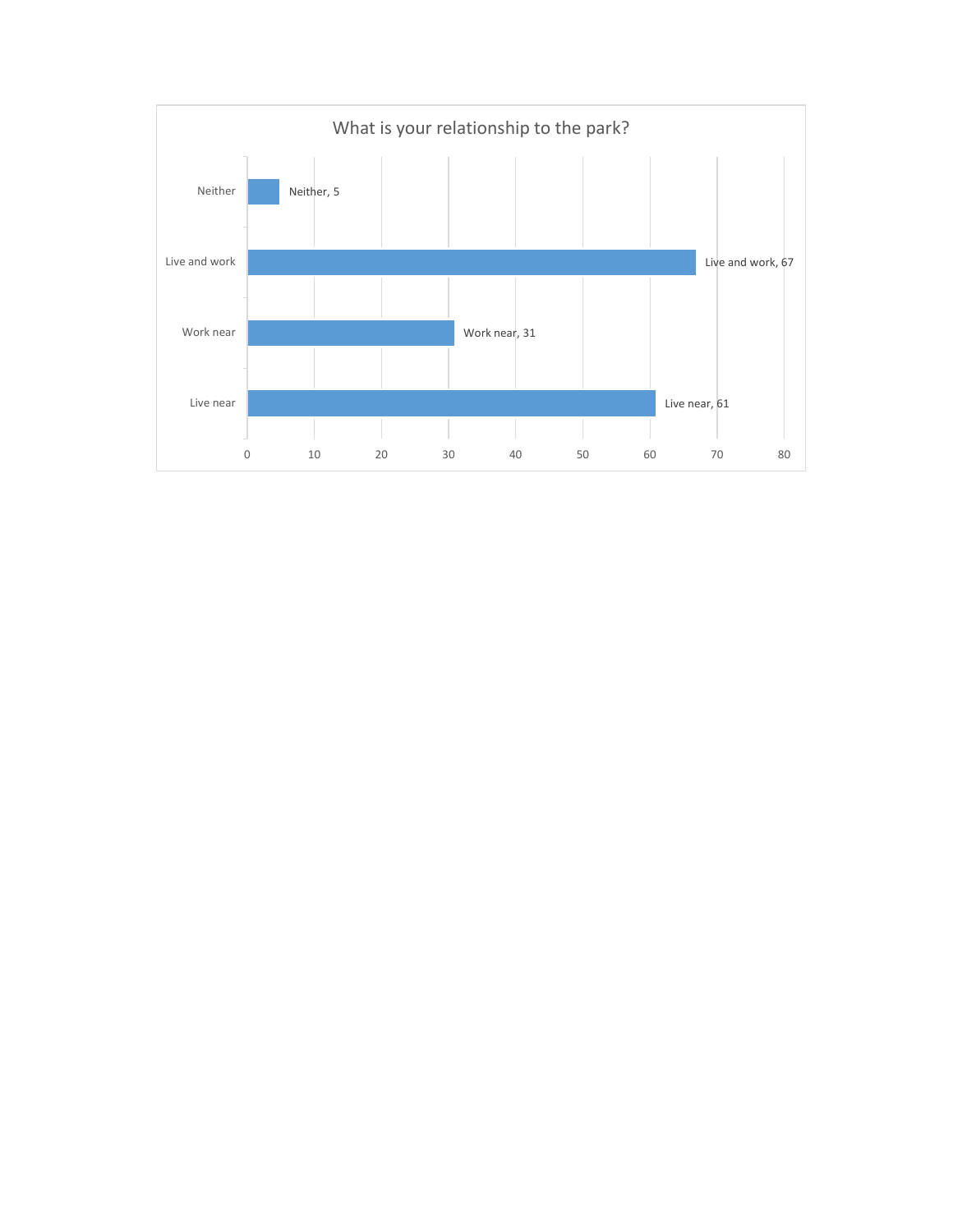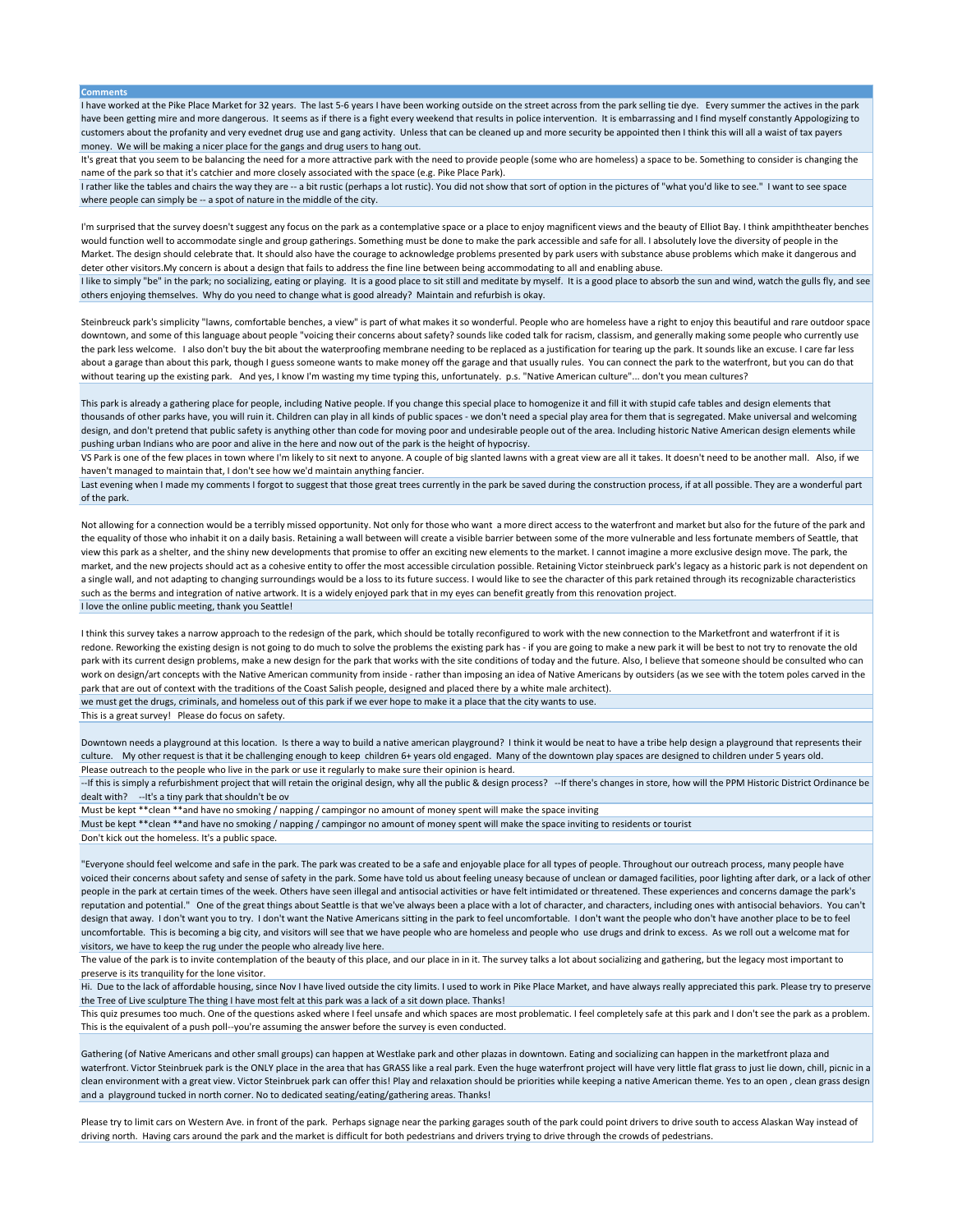**Comments**

I have worked at the Pike Place Market for 32 years. The last 5-6 years I have been working outside on the street across from the park selling tie dye. Every summer the actives in the park have been getting mire and more dangerous. It seems as if there is a fight every weekend that results in police intervention. It is embarrassing and I find myself constantly Appologizing to customers about the profanity and very evednet drug use and gang activity. Unless that can be cleaned up and more security be appointed then I think this will all a waist of tax payers money. We will be making a nicer place for the gangs and drug users to hang out.

It's great that you seem to be balancing the need for a more attractive park with the need to provide people (some who are homeless) a space to be. Something to consider is changing the name of the park so that it's catchier and more closely associated with the space (e.g. Pike Place Park).

I rather like the tables and chairs the way they are -- a bit rustic (perhaps a lot rustic). You did not show that sort of option in the pictures of "what you'd like to see." I want to see space where people can simply be -- a spot of nature in the middle of the city.

I'm surprised that the survey doesn't suggest any focus on the park as a contemplative space or a place to enjoy magnificent views and the beauty of Elliot Bay. I think ampiththeater benches would function well to accommodate single and group gatherings. Something must be done to make the park accessible and safe for all. I absolutely love the diversity of people in the Market. The design should celebrate that. It should also have the courage to acknowledge problems presented by park users with substance abuse problems which make it dangerous and deter other visitors.My concern is about a design that fails to address the fine line between being accommodating to all and enabling abuse.

I like to simply "be" in the park; no socializing, eating or playing. It is a good place to sit still and meditate by myself. It is a good place to absorb the sun and wind, watch the gulls fly, and see others enjoying themselves. Why do you need to change what is good already? Maintain and refurbish is okay.

Steinbreuck park's simplicity "lawns, comfortable benches, a view" is part of what makes it so wonderful. People who are homeless have a right to enjoy this beautiful and rare outdoor space downtown, and some of this language about people "voicing their concerns about safety? sounds like coded talk for racism, classism, and generally making some people who currently use the park less welcome. I also don't buy the bit about the waterproofing membrane needing to be replaced as a justification for tearing up the park. It sounds like an excuse. I care far less about a garage than about this park, though I guess someone wants to make money off the garage and that usually rules. You can connect the park to the waterfront, but you can do that without tearing up the existing park. And yes, I know I'm wasting my time typing this, unfortunately. p.s. "Native American culture"... don't you mean cultures?

This park is already a gathering place for people, including Native people. If you change this special place to homogenize it and fill it with stupid cafe tables and design elements that thousands of other parks have, you will ruin it. Children can play in all kinds of public spaces - we don't need a special play area for them that is segregated. Make universal and welcoming design, and don't pretend that public safety is anything other than code for moving poor and undesirable people out of the area. Including historic Native American design elements while pushing urban Indians who are poor and alive in the here and now out of the park is the height of hypocrisy.

VS Park is one of the few places in town where I'm likely to sit next to anyone. A couple of big slanted lawns with a great view are all it takes. It doesn't need to be another mall. Also, if we haven't managed to maintain that, I don't see how we'd maintain anything fancier.

Last evening when I made my comments I forgot to suggest that those great trees currently in the park be saved during the construction process, if at all possible. They are a wonderful part of the park.

Not allowing for a connection would be a terribly missed opportunity. Not only for those who want a more direct access to the waterfront and market but also for the future of the park and the equality of those who inhabit it on a daily basis. Retaining a wall between will create a visible barrier between some of the more vulnerable and less fortunate members of Seattle, that view this park as a shelter, and the shiny new developments that promise to offer an exciting new elements to the market. I cannot imagine a more exclusive design move. The park, the market, and the new projects should act as a cohesive entity to offer the most accessible circulation possible. Retaining Victor steinbrueck park's legacy as a historic park is not dependent on a single wall, and not adapting to changing surroundings would be a loss to its future success. I would like to see the character of this park retained through its recognizable characteristics such as the berms and integration of native artwork. It is a widely enjoyed park that in my eyes can benefit greatly from this renovation project. I love the online public meeting, thank you Seattle!

I think this survey takes a narrow approach to the redesign of the park, which should be totally reconfigured to work with the new connection to the Marketfront and waterfront if it is redone. Reworking the existing design is not going to do much to solve the problems the existing park has - if you are going to make a new park it will be best to not try to renovate the old park with its current design problems, make a new design for the park that works with the site conditions of today and the future. Also, I believe that someone should be consulted who can work on design/art concepts with the Native American community from inside - rather than imposing an idea of Native Americans by outsiders (as we see with the totem poles carved in the park that are out of context with the traditions of the Coast Salish people, designed and placed there by a white male architect). we must get the drugs, criminals, and homeless out of this park if we ever hope to make it a place that the city wants to use.

This is a great survey! Please do focus on safety.

Downtown needs a playground at this location. Is there a way to build a native american playground? I think it would be neat to have a tribe help design a playground that represents their culture. My other request is that it be challenging enough to keep children 6+ years old engaged. Many of the downtown play spaces are designed to children under 5 years old. Please outreach to the people who live in the park or use it regularly to make sure their opinion is heard.

--If this is simply a refurbishment project that will retain the original design, why all the public & design process? --If there's changes in store, how will the PPM Historic District Ordinance be dealt with? --It's a tiny park that shouldn't be ov

Must be kept \*\*clean \*\*and have no smoking / napping / campingor no amount of money spent will make the space inviting

Must be kept \*\*clean \*\*and have no smoking / napping / campingor no amount of money spent will make the space inviting to residents or tourist Don't kick out the homeless. It's a public space.

"Everyone should feel welcome and safe in the park. The park was created to be a safe and enjoyable place for all types of people. Throughout our outreach process, many people have voiced their concerns about safety and sense of safety in the park. Some have told us about feeling uneasy because of unclean or damaged facilities, poor lighting after dark, or a lack of other people in the park at certain times of the week. Others have seen illegal and antisocial activities or have felt intimidated or threatened. These experiences and concerns damage the park's reputation and potential." One of the great things about Seattle is that we've always been a place with a lot of character, and characters, including ones with antisocial behaviors. You can't design that away. I don't want you to try. I don't want the Native Americans sitting in the park to feel uncomfortable. I don't want the people who don't have another place to be to feel uncomfortable. This is becoming a big city, and visitors will see that we have people who are homeless and people who use drugs and drink to excess. As we roll out a welcome mat for visitors, we have to keep the rug under the people who already live here.

The value of the park is to invite contemplation of the beauty of this place, and our place in in it. The survey talks a lot about socializing and gathering, but the legacy most important to preserve is its tranquility for the lone visitor.

Hi. Due to the lack of affordable housing, since Nov I have lived outside the city limits. I used to work in Pike Place Market, and have always really appreciated this park. Please try to preserve the Tree of Live sculpture The thing I have most felt at this park was a lack of a sit down place. Thanks!

This quiz presumes too much. One of the questions asked where I feel unsafe and which spaces are most problematic. I feel completely safe at this park and I don't see the park as a problem. This is the equivalent of a push poll--you're assuming the answer before the survey is even conducted.

Gathering (of Native Americans and other small groups) can happen at Westlake park and other plazas in downtown. Eating and socializing can happen in the marketfront plaza and waterfront. Victor Steinbruek park is the ONLY place in the area that has GRASS like a real park. Even the huge waterfront project will have very little flat grass to just lie down, chill, picnic in a clean environment with a great view. Victor Steinbruek park can offer this! Play and relaxation should be priorities while keeping a native American theme. Yes to an open , clean grass design and a playground tucked in north corner. No to dedicated seating/eating/gathering areas. Thanks!

Please try to limit cars on Western Ave. in front of the park. Perhaps signage near the parking garages south of the park could point drivers to drive south to access Alaskan Way instead of driving north. Having cars around the park and the market is difficult for both pedestrians and drivers trying to drive through the crowds of pedestrians.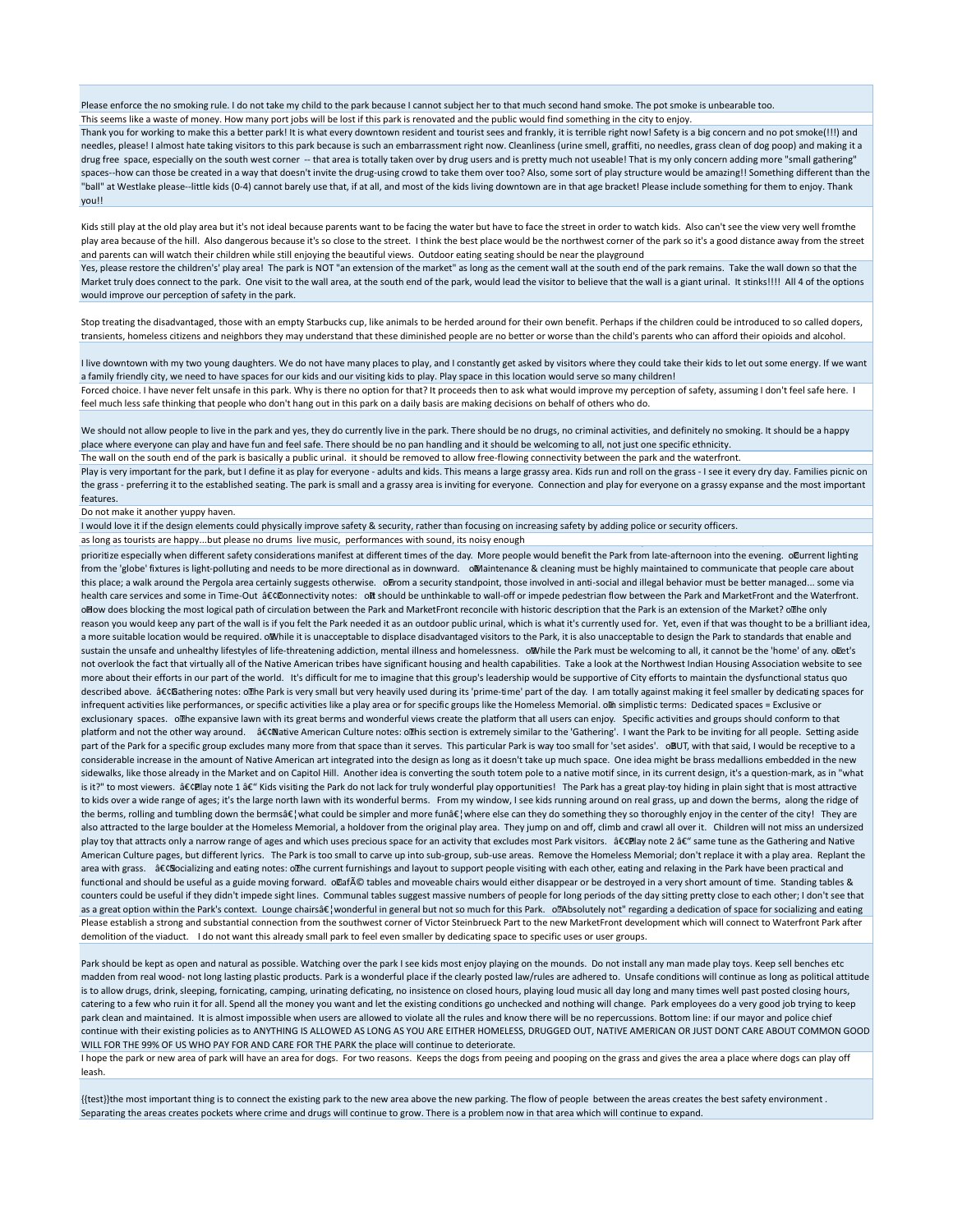Please enforce the no smoking rule. I do not take my child to the park because I cannot subject her to that much second hand smoke. The pot smoke is unbearable too. This seems like a waste of money. How many port jobs will be lost if this park is renovated and the public would find something in the city to enjoy.

Thank you for working to make this a better park! It is what every downtown resident and tourist sees and frankly, it is terrible right now! Safety is a big concern and no pot smoke(!!!) and needles, please! I almost hate taking visitors to this park because is such an embarrassment right now. Cleanliness (urine smell, graffiti, no needles, grass clean of dog poop) and making it a drug free space, especially on the south west corner -- that area is totally taken over by drug users and is pretty much not useable! That is my only concern adding more "small gathering" spaces--how can those be created in a way that doesn't invite the drug-using crowd to take them over too? Also, some sort of play structure would be amazing!! Something different than the "ball" at Westlake please--little kids (0-4) cannot barely use that, if at all, and most of the kids living downtown are in that age bracket! Please include something for them to enjoy. Thank you!!

Kids still play at the old play area but it's not ideal because parents want to be facing the water but have to face the street in order to watch kids. Also can't see the view very well fromthe play area because of the hill. Also dangerous because it's so close to the street. I think the best place would be the northwest corner of the park so it's a good distance away from the street and parents can will watch their children while still enjoying the beautiful views. Outdoor eating seating should be near the playground

Yes, please restore the children's' play area! The park is NOT "an extension of the market" as long as the cement wall at the south end of the park remains. Take the wall down so that the Market truly does connect to the park. One visit to the wall area, at the south end of the park, would lead the visitor to believe that the wall is a giant urinal. It stinks!!!! All 4 of the options would improve our perception of safety in the park.

Stop treating the disadvantaged, those with an empty Starbucks cup, like animals to be herded around for their own benefit. Perhaps if the children could be introduced to so called dopers, transients, homeless citizens and neighbors they may understand that these diminished people are no better or worse than the child's parents who can afford their opioids and alcohol.

I live downtown with my two young daughters. We do not have many places to play, and I constantly get asked by visitors where they could take their kids to let out some energy. If we want a family friendly city, we need to have spaces for our kids and our visiting kids to play. Play space in this location would serve so many children! Forced choice. I have never felt unsafe in this park. Why is there no option for that? It proceeds then to ask what would improve my perception of safety, assuming I don't feel safe here. I feel much less safe thinking that people who don't hang out in this park on a daily basis are making decisions on behalf of others who do.

We should not allow people to live in the park and yes, they do currently live in the park. There should be no drugs, no criminal activities, and definitely no smoking. It should be a happy place where everyone can play and have fun and feel safe. There should be no pan handling and it should be welcoming to all, not just one specific ethnicity.

The wall on the south end of the park is basically a public urinal. it should be removed to allow free-flowing connectivity between the park and the waterfront.

Play is very important for the park, but I define it as play for everyone - adults and kids. This means a large grassy area. Kids run and roll on the grass - I see it every dry day. Families picnic on the grass - preferring it to the established seating. The park is small and a grassy area is inviting for everyone. Connection and play for everyone on a grassy expanse and the most important features.

## Do not make it another yuppy haven.

I would love it if the design elements could physically improve safety & security, rather than focusing on increasing safety by adding police or security officers. as long as tourists are happy...but please no drums live music, performances with sound, its noisy enough

prioritize especially when different safety considerations manifest at different times of the day. More people would benefit the Park from late-afternoon into the evening. oCurrent lighting from the 'globe' fixtures is light-polluting and needs to be more directional as in downward. oMaintenance & cleaning must be highly maintained to communicate that people care about this place; a walk around the Pergola area certainly suggests otherwise. o From a security standpoint, those involved in anti-social and illegal behavior must be better managed... some via health care services and some in Time-Out •®onnectivity notes: ol should be unthinkable to wall-off or impede pedestrian flow between the Park and MarketFront and the Waterfront. o How does blocking the most logical path of circulation between the Park and MarketFront reconcile with historic description that the Park is an extension of the Market? o The only reason you would keep any part of the wall is if you felt the Park needed it as an outdoor public urinal, which is what it's currently used for. Yet, even if that was thought to be a brilliant idea, a more suitable location would be required. o While it is unacceptable to displace disadvantaged visitors to the Park, it is also unacceptable to design the Park to standards that enable and sustain the unsafe and unhealthy lifestyles of life-threatening addiction, mental illness and homelessness. o. Muhile the Park must be welcoming to all, it cannot be the 'home' of any. o. Det's not overlook the fact that virtually all of the Native American tribes have significant housing and health capabilities. Take a look at the Northwest Indian Housing Association website to see more about their efforts in our part of the world. It's difficult for me to imagine that this group's leadership would be supportive of City efforts to maintain the dysfunctional status quo described above. •Gathering notes: ollhe Park is very small but very heavily used during its 'prime-time' part of the day. I am totally against making it feel smaller by dedicating spaces for infrequent activities like performances, or specific activities like a play area or for specific groups like the Homeless Memorial. On simplistic terms: Dedicated spaces = Exclusive or exclusionary spaces. o The expansive lawn with its great berms and wonderful views create the platform that all users can enjoy. Specific activities and groups should conform to that platform and not the other way around. a€CNative American Culture notes: o mbis section is extremely similar to the 'Gathering'. I want the Park to be inviting for all people. Setting aside part of the Park for a specific group excludes many more from that space than it serves. This particular Park is way too small for 'set asides'. oBUT, with that said, I would be receptive to a considerable increase in the amount of Native American art integrated into the design as long as it doesn't take up much space. One idea might be brass medallions embedded in the new sidewalks, like those already in the Market and on Capitol Hill. Another idea is converting the south totem pole to a native motif since, in its current design, it's a question-mark, as in "what is it?" to most viewers. â€CElay note 1 â€" Kids visiting the Park do not lack for truly wonderful play opportunities! The Park has a great play-toy hiding in plain sight that is most attractive to kids over a wide range of ages; it's the large north lawn with its wonderful berms. From my window, I see kids running around on real grass, up and down the berms, along the ridge of the berms, rolling and tumbling down the berms倦what could be simpler and more fun倦where else can they do something they so thoroughly enjoy in the center of the city! They are also attracted to the large boulder at the Homeless Memorial, a holdover from the original play area. They jump on and off, climb and crawl all over it. Children will not miss an undersized play toy that attracts only a narrow range of ages and which uses precious space for an activity that excludes most Park visitors. â CCE lay note 2 â C" same tune as the Gathering and Native American Culture pages, but different lyrics. The Park is too small to carve up into sub-group, sub-use areas. Remove the Homeless Memorial; don't replace it with a play area. Replant the area with grass. â CG Socializing and eating notes: o The current furnishings and layout to support people visiting with each other, eating and relaxing in the Park have been practical and functional and should be useful as a guide moving forward. olafé tables and moveable chairs would either disappear or be destroyed in a very short amount of time. Standing tables & counters could be useful if they didn't impede sight lines. Communal tables suggest massive numbers of people for long periods of the day sitting pretty close to each other; I don't see that as a great option within the Park's context. Lounge chairs at ] wonderful in general but not so much for this Park. o [Absolutely not" regarding a dedication of space for socializing and eating Please establish a strong and substantial connection from the southwest corner of Victor Steinbrueck Part to the new MarketFront development which will connect to Waterfront Park after demolition of the viaduct. I do not want this already small park to feel even smaller by dedicating space to specific uses or user groups.

Park should be kept as open and natural as possible. Watching over the park I see kids most enjoy playing on the mounds. Do not install any man made play toys. Keep sell benches etc madden from real wood- not long lasting plastic products. Park is a wonderful place if the clearly posted law/rules are adhered to. Unsafe conditions will continue as long as political attitude is to allow drugs, drink, sleeping, fornicating, camping, urinating deficating, no insistence on closed hours, playing loud music all day long and many times well past posted closing hours, catering to a few who ruin it for all. Spend all the money you want and let the existing conditions go unchecked and nothing will change. Park employees do a very good job trying to keep park clean and maintained. It is almost impossible when users are allowed to violate all the rules and know there will be no repercussions. Bottom line: if our mayor and police chief continue with their existing policies as to ANYTHING IS ALLOWED AS LONG AS YOU ARE EITHER HOMELESS, DRUGGED OUT, NATIVE AMERICAN OR JUST DONT CARE ABOUT COMMON GOOD WILL FOR THE 99% OF US WHO PAY FOR AND CARE FOR THE PARK the place will continue to deteriorate.

I hope the park or new area of park will have an area for dogs. For two reasons. Keeps the dogs from peeing and pooping on the grass and gives the area a place where dogs can play off leash.

{{test}}the most important thing is to connect the existing park to the new area above the new parking. The flow of people between the areas creates the best safety environment . Separating the areas creates pockets where crime and drugs will continue to grow. There is a problem now in that area which will continue to expand.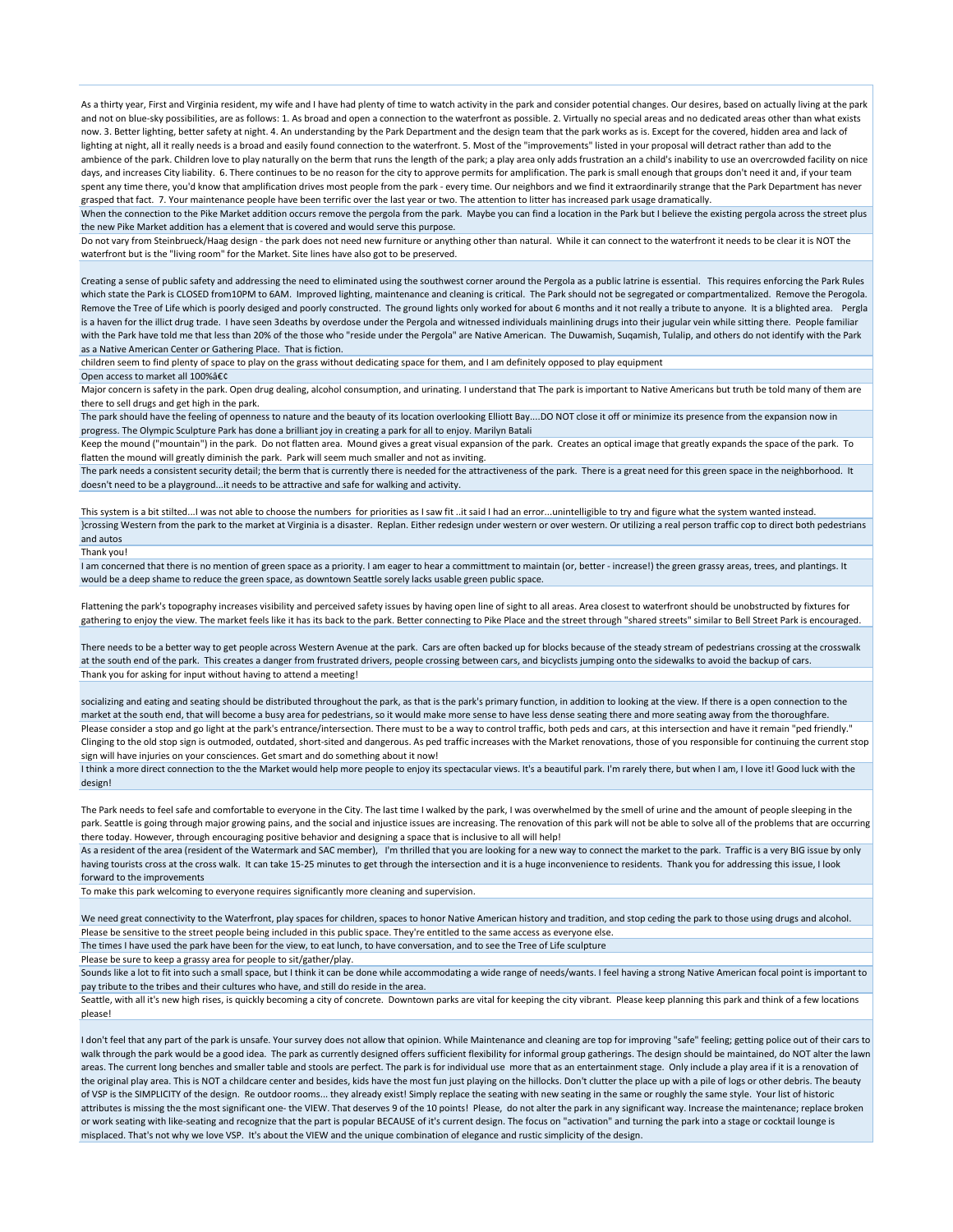As a thirty year, First and Virginia resident, my wife and I have had plenty of time to watch activity in the park and consider potential changes. Our desires, based on actually living at the park and not on blue-sky possibilities, are as follows: 1. As broad and open a connection to the waterfront as possible. 2. Virtually no special areas and no dedicated areas other than what exists now. 3. Better lighting, better safety at night. 4. An understanding by the Park Department and the design team that the park works as is. Except for the covered, hidden area and lack of lighting at night, all it really needs is a broad and easily found connection to the waterfront. 5. Most of the "improvements" listed in your proposal will detract rather than add to the ambience of the park. Children love to play naturally on the berm that runs the length of the park; a play area only adds frustration an a child's inability to use an overcrowded facility on nice days, and increases City liability. 6. There continues to be no reason for the city to approve permits for amplification. The park is small enough that groups don't need it and, if your team spent any time there, you'd know that amplification drives most people from the park - every time. Our neighbors and we find it extraordinarily strange that the Park Department has never grasped that fact. 7. Your maintenance people have been terrific over the last year or two. The attention to litter has increased park usage dramatically. When the connection to the Pike Market addition occurs remove the pergola from the park. Maybe you can find a location in the Park but I believe the existing pergola across the street plus

the new Pike Market addition has a element that is covered and would serve this purpose.

Do not vary from Steinbrueck/Haag design - the park does not need new furniture or anything other than natural. While it can connect to the waterfront it needs to be clear it is NOT the waterfront but is the "living room" for the Market. Site lines have also got to be preserved.

Creating a sense of public safety and addressing the need to eliminated using the southwest corner around the Pergola as a public latrine is essential. This requires enforcing the Park Rules which state the Park is CLOSED from10PM to 6AM. Improved lighting, maintenance and cleaning is critical. The Park should not be segregated or compartmentalized. Remove the Perogola. Remove the Tree of Life which is poorly desiged and poorly constructed. The ground lights only worked for about 6 months and it not really a tribute to anyone. It is a blighted area. Pergla is a haven for the illict drug trade. I have seen 3deaths by overdose under the Pergola and witnessed individuals mainlining drugs into their jugular vein while sitting there. People familiar with the Park have told me that less than 20% of the those who "reside under the Pergola" are Native American. The Duwamish, Suqamish, Tulalip, and others do not identify with the Park as a Native American Center or Gathering Place. That is fiction.

children seem to find plenty of space to play on the grass without dedicating space for them, and I am definitely opposed to play equipment

Open access to market all  $100\%$ â $\epsilon$ c

Major concern is safety in the park. Open drug dealing, alcohol consumption, and urinating. I understand that The park is important to Native Americans but truth be told many of them are there to sell drugs and get high in the park.

The park should have the feeling of openness to nature and the beauty of its location overlooking Elliott Bay....DO NOT close it off or minimize its presence from the expansion now in progress. The Olympic Sculpture Park has done a brilliant joy in creating a park for all to enjoy. Marilyn Batali

Keep the mound ("mountain") in the park. Do not flatten area. Mound gives a great visual expansion of the park. Creates an optical image that greatly expands the space of the park. To flatten the mound will greatly diminish the park. Park will seem much smaller and not as inviting.

The park needs a consistent security detail; the berm that is currently there is needed for the attractiveness of the park. There is a great need for this green space in the neighborhood. It doesn't need to be a playground...it needs to be attractive and safe for walking and activity.

This system is a bit stilted...I was not able to choose the numbers for priorities as I saw fit ..it said I had an error...unintelligible to try and figure what the system wanted instead. }crossing Western from the park to the market at Virginia is a disaster. Replan. Either redesign under western or over western. Or utilizing a real person traffic cop to direct both pedestrians and autos

Thank you!

I am concerned that there is no mention of green space as a priority. I am eager to hear a committment to maintain (or, better - increase!) the green grassy areas, trees, and plantings. It would be a deep shame to reduce the green space, as downtown Seattle sorely lacks usable green public space.

Flattening the park's topography increases visibility and perceived safety issues by having open line of sight to all areas. Area closest to waterfront should be unobstructed by fixtures for gathering to enjoy the view. The market feels like it has its back to the park. Better connecting to Pike Place and the street through "shared streets" similar to Bell Street Park is encouraged.

There needs to be a better way to get people across Western Avenue at the park. Cars are often backed up for blocks because of the steady stream of pedestrians crossing at the crosswalk at the south end of the park. This creates a danger from frustrated drivers, people crossing between cars, and bicyclists jumping onto the sidewalks to avoid the backup of cars. Thank you for asking for input without having to attend a meeting!

socializing and eating and seating should be distributed throughout the park, as that is the park's primary function, in addition to looking at the view. If there is a open connection to the market at the south end, that will become a busy area for pedestrians, so it would make more sense to have less dense seating there and more seating away from the thoroughfare. Please consider a stop and go light at the park's entrance/intersection. There must to be a way to control traffic, both peds and cars, at this intersection and have it remain "ped friendly." Clinging to the old stop sign is outmoded, outdated, short-sited and dangerous. As ped traffic increases with the Market renovations, those of you responsible for continuing the current stop sign will have injuries on your consciences. Get smart and do something about it now!

I think a more direct connection to the the Market would help more people to enjoy its spectacular views. It's a beautiful park. I'm rarely there, but when I am, I love it! Good luck with the design!

The Park needs to feel safe and comfortable to everyone in the City. The last time I walked by the park, I was overwhelmed by the smell of urine and the amount of people sleeping in the park. Seattle is going through major growing pains, and the social and injustice issues are increasing. The renovation of this park will not be able to solve all of the problems that are occurring there today. However, through encouraging positive behavior and designing a space that is inclusive to all will help!

As a resident of the area (resident of the Watermark and SAC member), I'm thrilled that you are looking for a new way to connect the market to the park. Traffic is a very BIG issue by only having tourists cross at the cross walk. It can take 15-25 minutes to get through the intersection and it is a huge inconvenience to residents. Thank you for addressing this issue, I look forward to the improvements

To make this park welcoming to everyone requires significantly more cleaning and supervision.

We need great connectivity to the Waterfront, play spaces for children, spaces to honor Native American history and tradition, and stop ceding the park to those using drugs and alcohol. Please be sensitive to the street people being included in this public space. They're entitled to the same access as everyone else.

The times I have used the park have been for the view, to eat lunch, to have conversation, and to see the Tree of Life sculpture

Please be sure to keep a grassy area for people to sit/gather/play.

Sounds like a lot to fit into such a small space, but I think it can be done while accommodating a wide range of needs/wants. I feel having a strong Native American focal point is important to pay tribute to the tribes and their cultures who have, and still do reside in the area.

Seattle, with all it's new high rises, is quickly becoming a city of concrete. Downtown parks are vital for keeping the city vibrant. Please keep planning this park and think of a few locations please!

I don't feel that any part of the park is unsafe. Your survey does not allow that opinion. While Maintenance and cleaning are top for improving "safe" feeling; getting police out of their cars to walk through the park would be a good idea. The park as currently designed offers sufficient flexibility for informal group gatherings. The design should be maintained, do NOT alter the lawn areas. The current long benches and smaller table and stools are perfect. The park is for individual use more that as an entertainment stage. Only include a play area if it is a renovation of the original play area. This is NOT a childcare center and besides, kids have the most fun just playing on the hillocks. Don't clutter the place up with a pile of logs or other debris. The beauty of VSP is the SIMPLICITY of the design. Re outdoor rooms... they already exist! Simply replace the seating with new seating in the same or roughly the same style. Your list of historic attributes is missing the the most significant one- the VIEW. That deserves 9 of the 10 points! Please, do not alter the park in any significant way. Increase the maintenance; replace broken or work seating with like-seating and recognize that the part is popular BECAUSE of it's current design. The focus on "activation" and turning the park into a stage or cocktail lounge is misplaced. That's not why we love VSP. It's about the VIEW and the unique combination of elegance and rustic simplicity of the design.